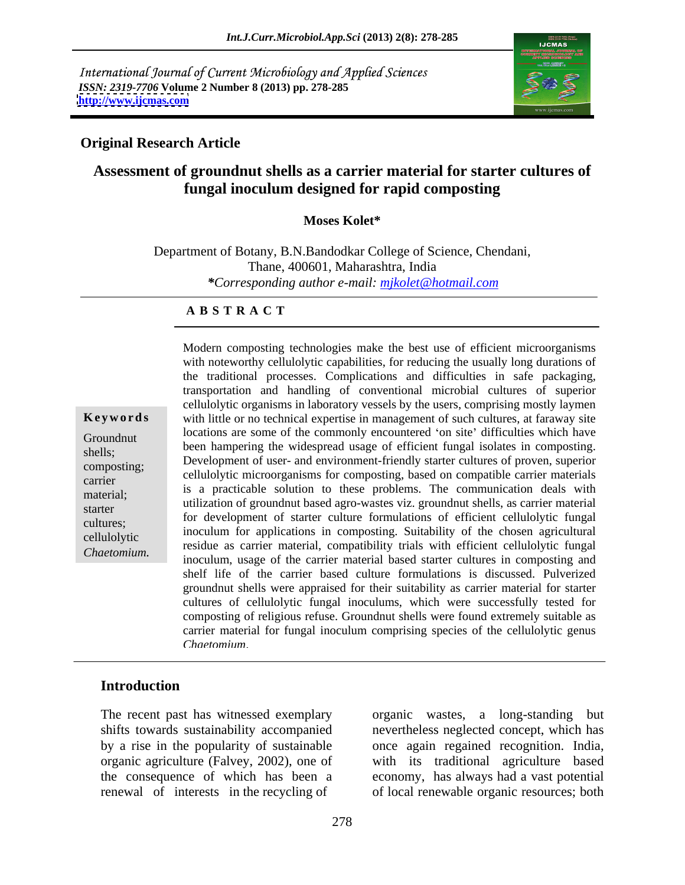International Journal of Current Microbiology and Applied Sciences *ISSN: 2319-7706* **Volume 2 Number 8 (2013) pp. 278-285 <http://www.ijcmas.com>**



#### **Original Research Article**

# **Assessment of groundnut shells as a carrier material for starter cultures of fungal inoculum designed for rapid composting**

#### **Moses Kolet\***

Department of Botany, B.N.Bandodkar College of Science, Chendani, Thane, 400601, Maharashtra, India *\*Corresponding author e-mail: mjkolet@hotmail.com*

#### **A B S T R A C T**

**Keywords** with little or no technical expertise in management of such cultures, at faraway site Groundnut control are some of the commonly encountered on site unificatives which have shells; been hampering the widespread usage of efficient fungal isolates in composting. Extens,<br>
Development of user- and environment-friendly starter cultures of proven, superior<br>  $\frac{1}{100}$ carrier centurolytic incroorganisms for composing, based on companione carrier materials edition-<br>
is a practicable solution to these problems. The communication deals with<br>
is a practicable solution to these problems. The communication deals with starter utilization of groundnut based agro-wastes viz. groundnut shells, as carrier material cultures; cellulolytic inoculum for applications in composting. Suitability of the chosen agricultural *Chaetomium composting technologies make the best use of efficient microorganisms*<br>
with noteworthy cellulolytic capabilities, for reducing the usually long durations of<br>
the traditional processes. Complications and diffic with noteworthy cellulolytic capabilities, for reducing the usually long durations of the traditional processes. Complications and difficulties in safe packaging, transportation and handling of conventional microbial cultures of superior cellulolytic organisms in laboratory vessels by the users, comprising mostly laymen locations are some of the commonly encountered 'on site' difficulties which have cellulolytic microorganisms for composting, based on compatible carrier materials for development of starter culture formulations of efficient cellulolytic fungal residue as carrier material, compatibility trials with efficient cellulolytic fungal inoculum, usage of the carrier material based starter cultures in composting and shelf life of the carrier based culture formulations is discussed. Pulverized groundnut shells were appraised for their suitability as carrier material for starter cultures of cellulolytic fungal inoculums, which were successfully tested for composting of religious refuse. Groundnut shells were found extremely suitable as carrier material for fungal inoculum comprising species of the cellulolytic genus *Chaetomium*.

### **Introduction**

The recent past has witnessed exemplary organic wastes, a long-standing but

shifts towards sustainability accompanied nevertheless neglected concept, which has by a rise in the popularity of sustainable once again regained recognition. India, organic agriculture (Falvey, 2002), one of with its traditional agriculture based the consequence of which has been a economy, has always had a vast potential renewal of interests in the recycling of of local renewable organic resources; both organic wastes, a long-standing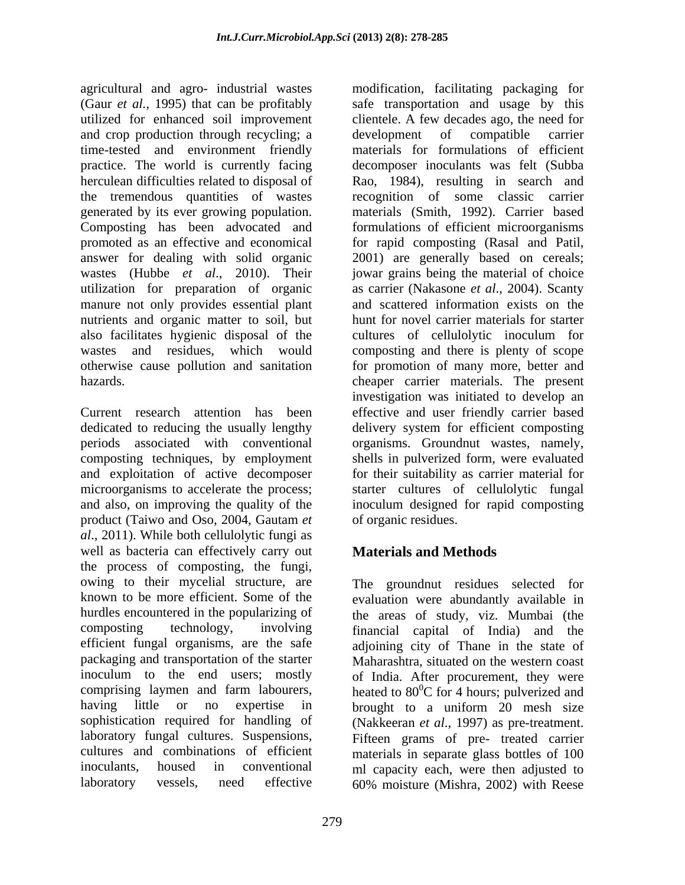(Gaur *et al.,* 1995) that can be profitably and crop production through recycling; a development of compatible carrier time-tested and environment friendly generated by its ever growing population. Composting has been advocated and utilization for preparation of organic manure not only provides essential plant nutrients and organic matter to soil, but also facilitates hygienic disposal of the

composting techniques, by employment product (Taiwo and Oso, 2004, Gautam *et al*., 2011). While both cellulolytic fungi as well as bacteria can effectively carry out **Materials and Methods** the process of composting, the fungi,<br>owing to their mycelial structure, are owing to their mycelial structure, are The groundnut residues selected for known to be more efficient. Some of the evaluation were abundantly available in hurdles encountered in the popularizing of the areas of study, viz. Mumbai (the composting technology, involving financial capital of India) and the efficient fungal organisms, are the safe adjoining city of Thane in the state of packaging and transportation of the starter inoculum to the end users; mostly of India. After procurement, they were comprising laymen and farm labourers, heated to  $80^{\circ}$ C for 4 hours; pulverized and having little or no expertise in brought to a uniform 20 mesh size sophistication required for handling of (Nakkeeran *et al*., 1997) as pre-treatment. laboratory fungal cultures. Suspensions, Fifteen grams of pre- treated carrier cultures and combinations of efficient materials in separate glass bottles of 100 inoculants, housed in conventional ml capacity each, were then adjusted to laboratory vessels, need effective 60% moisture (Mishra, 2002) with Reese

agricultural and agro- industrial wastes modification, facilitating packaging for utilized for enhanced soil improvement clientele. A few decades ago, the need for practice. The world is currently facing decomposer inoculants was felt (Subba herculean difficulties related to disposal of Rao, 1984), resulting in search and the tremendous quantities of wastes recognition of some classic carrier promoted as an effective and economical for rapid composting (Rasal and Patil, answer for dealing with solid organic 2001) are generally based on cereals; wastes (Hubbe *et al*., 2010). Their jowar grains being the material of choice wastes and residues, which would composting and there is plenty of scope otherwise cause pollution and sanitation for promotion of many more, better and hazards. cheaper carrier materials. The present Current research attention has been effective and user friendly carrier based dedicated to reducing the usually lengthy delivery system for efficient composting periods associated with conventional organisms. Groundnut wastes, namely, and exploitation of active decomposer for their suitability as carrier material for microorganisms to accelerate the process; starter cultures of cellulolytic fungal and also, on improving the quality of the inoculum designed forrapid composting safe transportation and usage by this development of compatible carrier materials for formulations of efficient materials (Smith, 1992). Carrier based formulations of efficient microorganisms as carrier (Nakasone *et al*., 2004). Scanty and scattered information exists on the hunt for novel carrier materials for starter cultures of cellulolytic inoculum for investigation was initiated to develop an shells in pulverized form, were evaluated of organic residues.

# **Materials and Methods**

Maharashtra, situated on the western coast  ${}^{0}C$  for 4 hours; pulverized and brought to a uniform 20 mesh size 60% moisture (Mishra, 2002) with Reese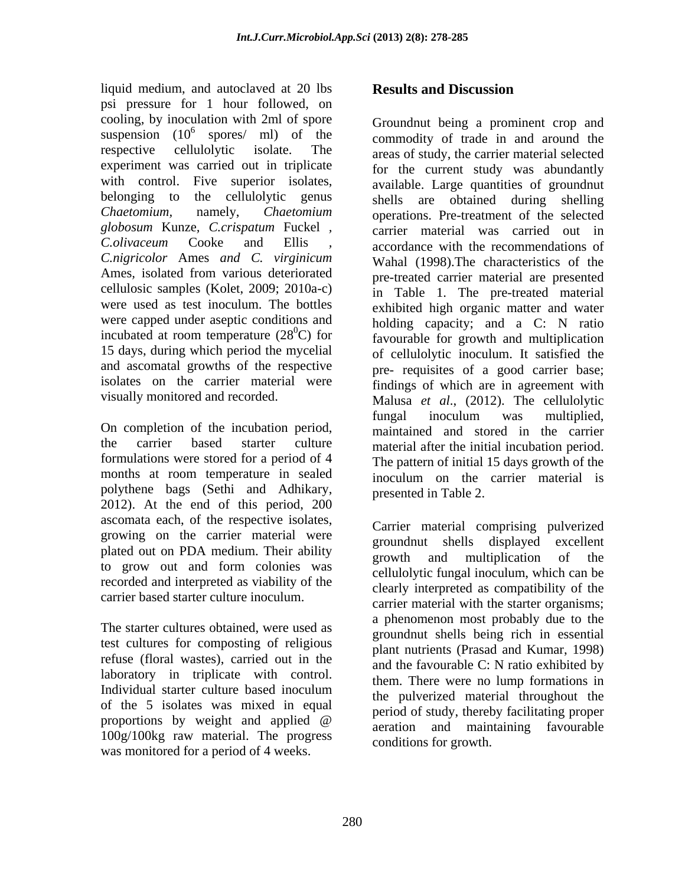liquid medium, and autoclaved at 20 lbs **Results and Discussion** psi pressure for 1 hour followed, on cooling, by inoculation with 2ml of spore Groundnut being a prominent crop and experiment was carried out in triplicate with control. Five superior isolates, belonging to the cellulolytic genus *globosum* Kunze*, C.crispatum* Fuckel *, C.nigricolor* Ames *and C. virginicum* cellulosic samples (Kolet, 2009; 2010a-c) were capped under aseptic conditions and

On completion of the incubation period, formulations were stored for a period of 4 polythene bags (Sethi and Adhikary, 2012). At the end of this period, 200 ascomata each, of the respective isolates, growing on the carrier material were<br>groundnut shells displayed excellent plated out on PDA medium. Their ability of the growth and multiplication of the to grow out and form colonies was recorded and interpreted as viability of the

The starter cultures obtained, were used as test cultures for composting of religious refuse (floral wastes), carried out in the laboratory in triplicate with control. of the 5 isolates was mixed in equal 100g/100kg raw material. The progress was monitored for a period of 4 weeks.

## **Results and Discussion**

suspension  $(10^6 \text{ spores/ ml})$  of the commodity of trade in and around the spores/ ml) of the commodity of trade in and around the respective cellulolytic isolate. The areas of study, the carrier material selected *Chaetomium,* namely, *Chaetomium*  operations. Pre-treatment of the selected *C.olivaceum* Cooke and Ellis *,* accordance with the recommendations of Ames*,* isolated from various deteriorated pre-treated carrier material are presented were used as test inoculum. The bottles exhibited high organic matter and water incubated at room temperature  $(28^{\circ}\text{C})$  for<br>favourable for growth and multiplication 15 days, during which period the mycelial of cellulolytic inoculum. It satisfied the and ascomatal growths of the respective pre- requisites of a good carrier base; isolates on the carrier material were findings of which are in agreement with visually monitored and recorded. Malusa *et al*., (2012). The cellulolytic the carrier based starter culture material after the initial incubation period. months at room temperature in sealed inoculum on the carrier material is for the current study was abundantly available. Large quantities of groundnut shells are obtained during shelling carrier material was carried out in Wahal (1998).The characteristics of the in Table 1. The pre-treated material holding capacity; and a C: N ratio fungal inoculum was multiplied, maintained and stored in the carrier The pattern of initial 15 days growth of the presented in Table 2.

carrier based starter culture inoculum.<br>
carrier material with the starter organisms; Individual starter culture based inoculum proportions by weight and applied  $\omega$  below that, thereby including proper Carrier material comprising pulverized groundnut shells displayed excellent growth and multiplication of the cellulolytic fungal inoculum, which can be clearly interpreted as compatibility of the a phenomenon most probably due to the groundnut shells being rich in essential plant nutrients (Prasad and Kumar, 1998) and the favourable C: N ratio exhibited by them. There were no lump formations in the pulverized material throughout the period of study, thereby facilitating proper aeration and maintaining favourable conditions for growth.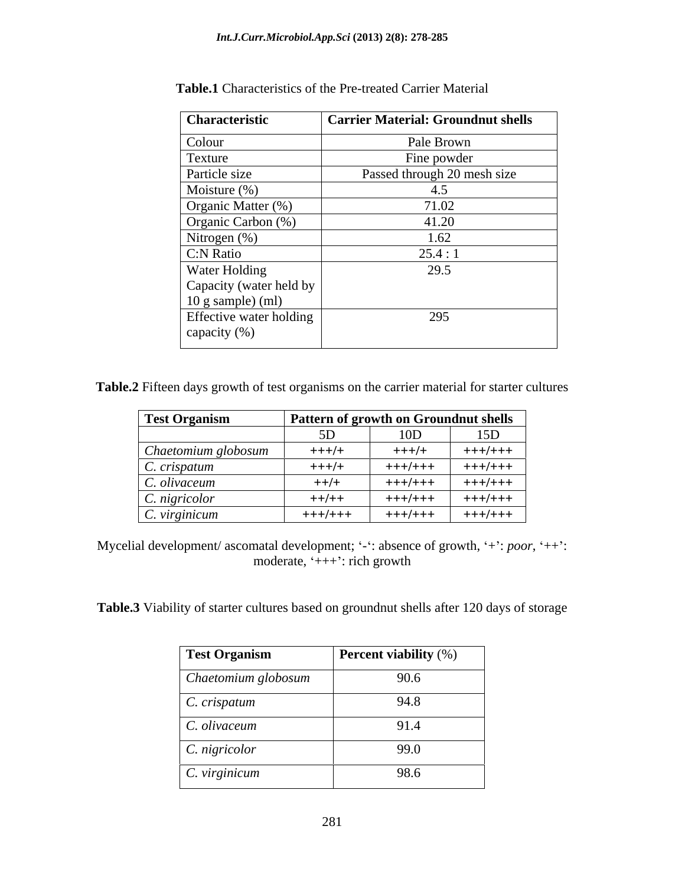| Characteristic          | <b>Carrier Material: Groundnut shells</b> |
|-------------------------|-------------------------------------------|
| Colour                  | Pale Brown                                |
| Texture                 | Fine powder                               |
| Particle size           | Passed through 20 mesh size               |
| Moisture $(\%)$         | 4.5                                       |
| Organic Matter (%)      | 71.02                                     |
| Organic Carbon (%)      | 41.20                                     |
| Nitrogen (%)            | 1.62                                      |
| C:N Ratio               | 25.4:1                                    |
| Water Holding           | 29.5                                      |
| Capacity (water held by |                                           |
| $10$ g sample) (ml)     |                                           |
| Effective water holding | 295                                       |
| capacity (%)            |                                           |

**Table.1** Characteristics of the Pre-treated Carrier Material

**Table.2** Fifteen days growth of test organisms on the carrier material for starter cultures

| <b>Test Organism</b> | <b>Pattern of growth on Groundnut shells</b> |                         |                   |
|----------------------|----------------------------------------------|-------------------------|-------------------|
|                      |                                              | $\overline{\mathsf{a}}$ | 15D<br><b>LJD</b> |
| Chaetomium globosum  | $+++/+$                                      | $+++/+$                 | +++/+++           |
| C. crispatum         | $+++/+$                                      | +++/+++                 | +++/+++           |
| C. olivaceum         | $++/+$                                       | +++/+++                 | +++/+++           |
| C. nigricolor        | $++/++$                                      | +++/+++                 | +++/+++           |
| C. virginicum        | $+++/-++$                                    | $+++/+++$               | +++/+++           |

Mycelial development/ ascomatal development; '-': absence of growth, '+': *poor*, '++': moderate,  $+++$ : rich growth

**Table.3** Viability of starter cultures based on groundnut shells after 120 days of storage

| <b>Test Organism</b>     | <b>Percent viability</b> $(\%)$ |
|--------------------------|---------------------------------|
| Chaetomium globosum      | 90.6                            |
| $\vert$ C. crispatum     | 94.8                            |
| $\mathcal C$ . olivaceum | 91.4                            |
| $\vert$ C. nigricolor    | 99.0                            |
| $\vert$ C. virginicum    | 98.6                            |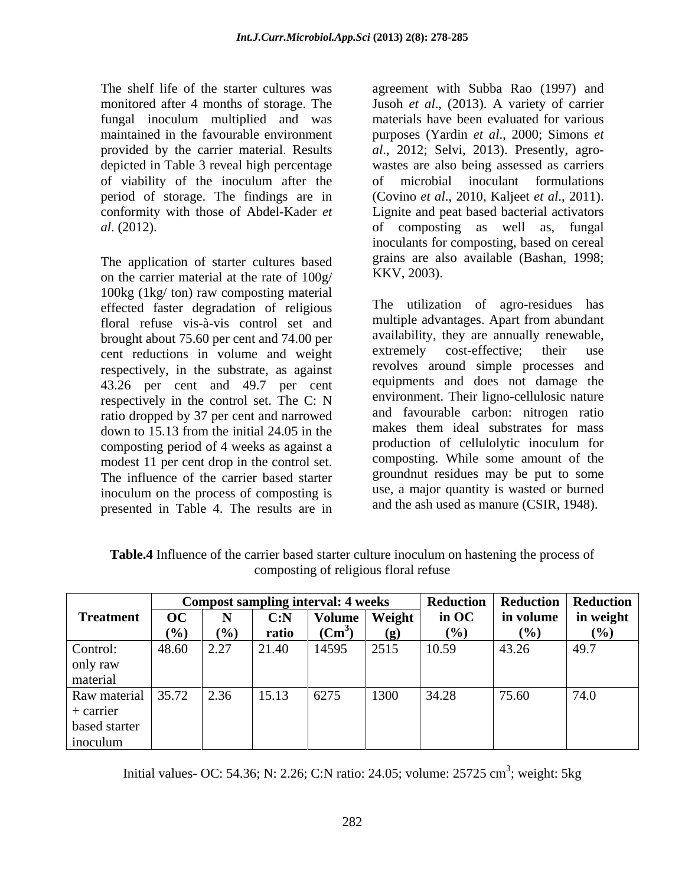fungal inoculum multiplied and was of viability of the inoculum after the period of storage. The findings are in (Covino *et al.*, 2010, Kaljeet *et al.*, 2011). conformity with those of Abdel-Kader *et* 

The application of starter cultures based grains are also the carrier material at the rate of  $100\alpha$  KKV, 2003). on the carrier material at the rate of 100g/ 100kg (1kg/ ton) raw composting material effected faster degradation of religious floral refuse vis-à-vis control set and brought about 75.60 per cent and 74.00 per availability, they are annually renewable,<br>cent reductions in volume and weight extremely cost-effective; their use cent reductions in volume and weight respectively, in the substrate, as against 43.26 per cent and 49.7 per cent respectively in the control set. The C: N ratio dropped by 37 per cent and narrowed and tavourable carbon: nitrogen ratio<br>down to 15.13 from the initial 24.05 in the makes them ideal substrates for mass down to 15.13 from the initial 24.05 in the composting period of 4 weeks as against a modest 11 per cent drop in the control set. The influence of the carrier based starter inoculum on the process of composting is presented in Table 4. The results are in

The shelf life of the starter cultures was agreement with Subba Rao (1997) and monitored after 4 months of storage. The Jusoh *et al*., (2013). A variety of carrier maintained in the favourable environment purposes (Yardin *et al*., 2000; Simons *et*  provided by the carrier material. Results *al*., 2012; Selvi, 2013). Presently, agro depicted in Table 3 reveal high percentage wastes are also being assessed as carriers *al*. (2012). of composting as well as, fungal materials have been evaluated for various microbial inoculant formulations (Covino *et al.*, 2010, Kaljeet *et al.*, 2011).<br>Lignite and peat based bacterial activators inoculants for composting, based on cereal grains are also available (Bashan, 1998; KKV, 2003).

> The utilization of agro-residues has multiple advantages. Apart from abundant availability, they are annually renewable, extremely cost-effective; their use revolves around simple processes and equipments and does not damage the environment. Their ligno-cellulosic nature and favourable carbon: nitrogen ratio makes them ideal substrates for mass production of cellulolytic inoculum for composting. While some amount of the groundnut residues may be put to some use, a major quantity is wasted or burned and the ash used as manure (CSIR, 1948).

|                           |            |      |       | <b>Compost sampling interval: 4 weeks</b> |                             | Reduction   Reduction   Reduction |                     |      |
|---------------------------|------------|------|-------|-------------------------------------------|-----------------------------|-----------------------------------|---------------------|------|
| Treatment                 | OC         |      | C: N  | Volume   Weight                           |                             | $\overline{\mathbf{m}}$ OC        | in volume in weight |      |
|                           |            | 170, | ratio | $\mathbf{(Cm}^{\sim})$                    | $\left( \mathbf{p} \right)$ | (70)                              | (%)                 | (%)  |
| Control:                  | 48.60 2.27 |      | 21.40 | 14595                                     | 2515                        | 10.59                             | 43.26               | 49.7 |
| only raw                  |            |      |       |                                           |                             |                                   |                     |      |
| material                  |            |      |       |                                           |                             |                                   |                     |      |
| Raw material $35.72$ 2.36 |            |      | 15.13 | 6275                                      | 1300                        | 34.28                             | 75.60               | 74.0 |
| $+$ carrier               |            |      |       |                                           |                             |                                   |                     |      |
| based starter             |            |      |       |                                           |                             |                                   |                     |      |
| inoculum                  |            |      |       |                                           |                             |                                   |                     |      |

**Table.4** Influence of the carrier based starter culture inoculum on hastening the process of composting of religious floral refuse

Initial values- OC: 54.36; N: 2.26; C:N ratio: 24.05; volume: 25725 cm<sup>3</sup>; weight: 5kg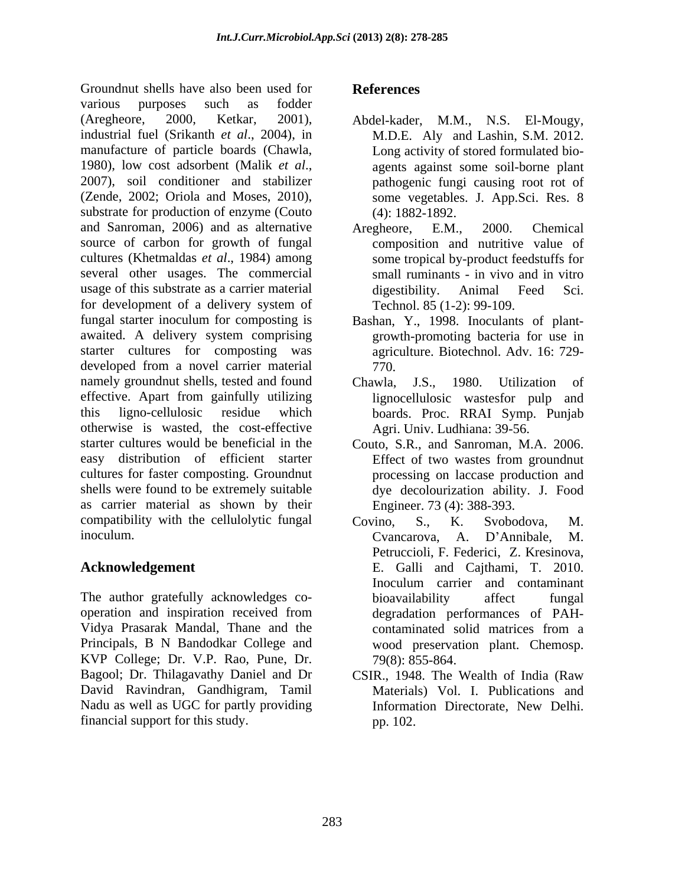Groundnut shells have also been used for **References** various purposes such as fodder (Aregheore, 2000, Ketkar, 2001), Abdel-kader, M.M., N.S. El-Mougy, industrial fuel (Srikanth *et al*., 2004), in manufacture of particle boards (Chawla, 1980), low cost adsorbent (Malik *et al*., 2007), soil conditioner and stabilizer (Zende, 2002; Oriola and Moses, 2010), substrate for production of enzyme (Couto and Sanroman, 2006) and as alternative Aregheore. E.M., 2000. Chemical source of carbon for growth of fungal cultures (Khetmaldas *et al*., 1984) among several other usages. The commercial usage of this substrate as a carrier material digestibility. Animal Feed Sci. for development of a delivery system of Technol. 85 (1-2): 99-109. fungal starter inoculum for composting is Bashan, Y., 1998. Inoculants of plant awaited. A delivery system comprising starter cultures for composting was developed from a novel carrier material  $770$ . namely groundnut shells, tested and found Chawla, J.S., 1980. Utilization of effective. Apart from gainfully utilizing this ligno-cellulosic residue which boards. Proc. RRAI Symp. Punjab otherwise is wasted, the cost-effective starter cultures would be beneficial in the Couto, S.R., and Sanroman, M.A. 2006. easy distribution of efficient starter cultures for faster composting. Groundnut shells were found to be extremely suitable as carrier material as shown by their compatibility with the cellulolytic fungal covino. S., K. Svobodova, M. inoculum. Cvancarova, A. D'Annibale, M.

The author gratefully acknowledges co-<br>bioavailability affect fungal Vidya Prasarak Mandal, Thane and the Principals, B N Bandodkar College and KVP College; Dr. V.P. Rao, Pune, Dr. Bagool; Dr. Thilagavathy Daniel and Dr CSIR., 1948. The Wealth of India (Raw David Ravindran, Gandhigram, Tamil Nadu as well as UGC for partly providing **Information Directorate**, New Delhi. financial support for this study.

# **References**

- M.D.E. Aly and Lashin, S.M. 2012. Long activity of stored formulated bio agents against some soil-borne plant pathogenic fungi causing root rot of some vegetables. J. App.Sci. Res. 8 (4): 1882-1892.
- Aregheore, E.M., 2000. Chemical composition and nutritive value of some tropical by-product feedstuffs for small ruminants - in vivo and in vitro digestibility. Animal Feed Sci. Technol. 85 (1-2): 99-109.
- growth-promoting bacteria for use in agriculture. Biotechnol. Adv. 16: 729- 770.
- Chawla, J.S., 1980. Utilization of lignocellulosic wastesfor pulp and Agri. Univ. Ludhiana: 39-56.
- Effect of two wastes from groundnut processing on laccase production and dye decolourization ability. J. Food Engineer. 73 (4): 388-393.
- **Acknowledgement**  E. Galli and Cajthami, T. 2010. operation and inspiration received from Covino, S., K. Svobodova, M. Cvancarova, A. D Annibale, M. Petruccioli, F. Federici, Z. Kresinova, Inoculum carrier and contaminant bioavailability affect fungal degradation performances of PAH contaminated solid matrices from a wood preservation plant. Chemosp. 79(8): 855-864.
	- Materials) Vol. I. Publications and Information Directorate, New Delhi. pp. 102.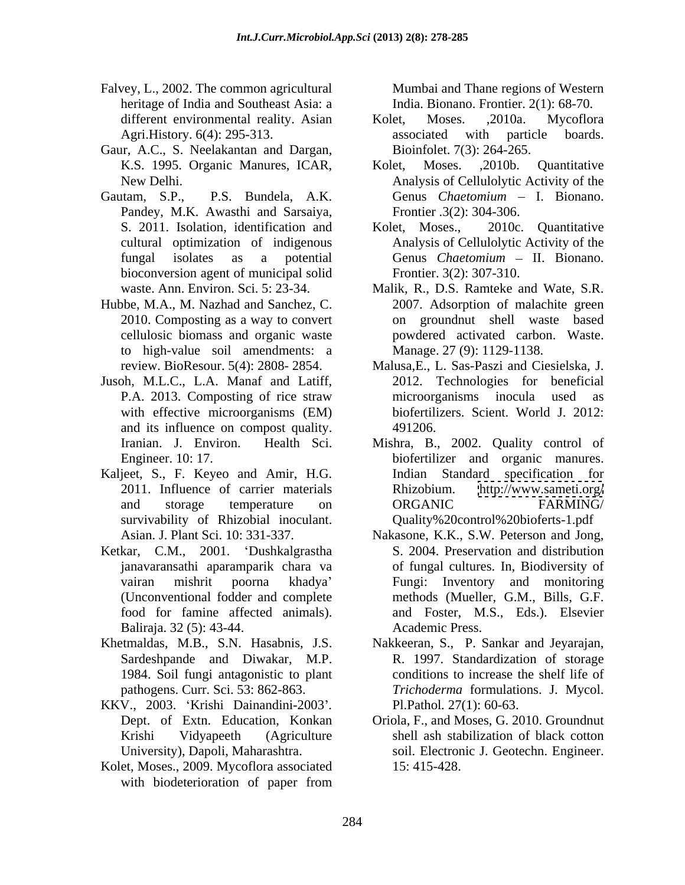- Falvey, L., 2002. The common agricultural heritage of India and Southeast Asia: a
- Gaur, A.C., S. Neelakantan and Dargan,
- Gautam, S.P., P.S. Bundela, A.K. Genus Chaetomium I. Bionano. Pandey, M.K. Awasthi and Sarsaiya, bioconversion agent of municipal solid
- Hubbe, M.A., M. Nazhad and Sanchez, C. to high-value soil amendments: a
- Jusoh, M.L.C., L.A. Manaf and Latiff, and its influence on compost quality.
- Kaljeet, S., F. Keyeo and Amir, H.G. Indian Standard specification for 2011. Influence of carrier materials Rhizobium. survivability of Rhizobial inoculant.
- Ketkar, C.M., 2001. Dushkalgrastha Baliraja. 32 (5): 43-44.
- 
- KKV., 2003. Krishi Dainandini-2003 *.*
- Kolet, Moses., 2009. Mycoflora associated 15: 415-428. with biodeterioration of paper from

Mumbai and Thane regions of Western India. Bionano. Frontier. 2(1): 68-70.

- different environmental reality. Asian Kolet, Moses. .2010a. Mycoflora Agri.History. 6(4): 295-313. associated with particle boards. Kolet, Moses. ,2010a. Mycoflora associated with particle boards. Bioinfolet. 7(3): 264-265.
- K.S. 1995. Organic Manures, ICAR, New Delhi. Analysis of Cellulolytic Activity of the Kolet, Moses. ,2010b. Quantitative Genus *Chaetomium* – I. Bionano. Frontier .3(2): 304-306.
- S. 2011. Isolation, identification and Kolet, Moses., 2010c. Quantitative cultural optimization of indigenous Analysis of Cellulolytic Activity of the fungal isolates as a potential Genus *Chaetomium* – II. Bionano. Kolet, Moses., 2010c. Quantitative Frontier. 3(2): 307-310.
- waste. Ann. Environ. Sci. 5: 23-34. Malik, R., D.S. Ramteke and Wate, S.R. 2010. Composting as a way to convert on groundnut shell waste based cellulosic biomass and organic waste powdered activated carbon. Waste. 2007. Adsorption of malachite green Manage. 27 (9): 1129-1138.
- review. BioResour. 5(4): 2808- 2854. Malusa,E., L. Sas-Paszi and Ciesielska, J. P.A. 2013. Composting of rice straw microorganisms inocula used as with effective microorganisms (EM) biofertilizers. Scient. World J. 2012: 2012. Technologies for beneficial microorganisms inocula used as 491206.
- Iranian. J. Environ. Health Sci. Mishra, B., 2002. Quality control of Engineer. 10: 17. biofertilizer and organic manures. and storage temperature on ORGANIC FARMING/ Indian Standard specification for <http://www.sameti.org/> ORGANIC FARMING/ Quality%20control%20bioferts-1.pdf
- Asian. J. Plant Sci. 10: 331-337. Nakasone, K.K., S.W. Peterson and Jong, janavaransathi aparamparik chara va of fungal cultures. In, Biodiversity of vairan mishrit poorna khadya Fungi: Inventory and monitoring (Unconventional fodder and complete methods (Mueller, G.M., Bills, G.F. food for famine affected animals). and Foster, M.S., Eds.). Elsevier S. 2004. Preservation and distribution Academic Press.
- Khetmaldas, M.B., S.N. Hasabnis, J.S. Nakkeeran, S., P. Sankar and Jeyarajan, Sardeshpande and Diwakar, M.P. R. 1997. Standardization of storage 1984. Soil fungi antagonistic to plant conditions to increase the shelf life of pathogens. Curr. Sci. 53: 862-863. *Trichoderma* formulations. J. Mycol. Pl.Pathol*.* 27(1): 60-63.
	- Dept. of Extn. Education, Konkan Oriola, F., and Moses, G. 2010. Groundnut Krishi Vidyapeeth (Agriculture shell ash stabilization of black cotton University), Dapoli, Maharashtra. soil. Electronic J. Geotechn. Engineer. soil. Electronic J. Geotechn. Engineer. 15: 415-428.